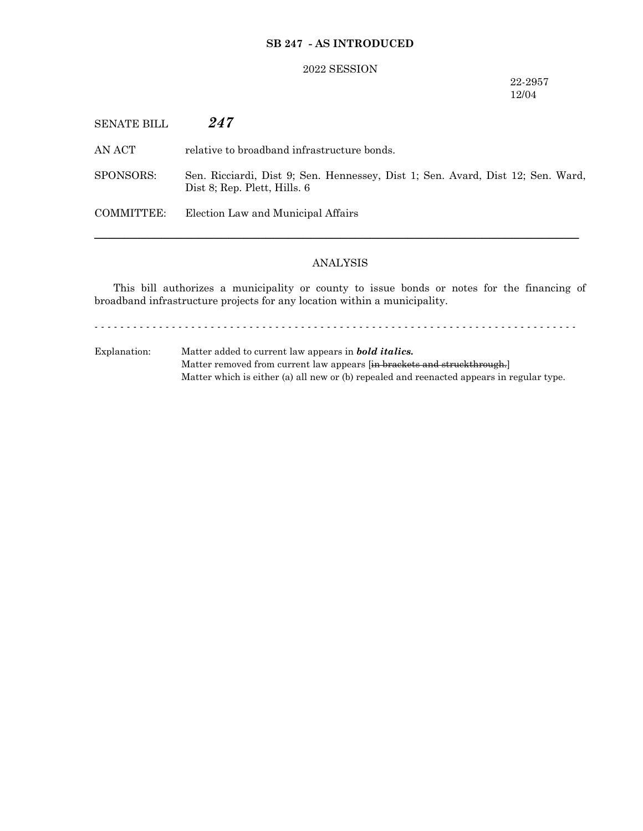## **SB 247 - AS INTRODUCED**

### 2022 SESSION

## 22-2957 12/04

SENATE BILL *247*

AN ACT relative to broadband infrastructure bonds.

SPONSORS: Sen. Ricciardi, Dist 9; Sen. Hennessey, Dist 1; Sen. Avard, Dist 12; Sen. Ward, Dist 8; Rep. Plett, Hills. 6

COMMITTEE: Election Law and Municipal Affairs

# ANALYSIS

─────────────────────────────────────────────────────────────────

This bill authorizes a municipality or county to issue bonds or notes for the financing of broadband infrastructure projects for any location within a municipality.

- - - - - - - - - - - - - - - - - - - - - - - - - - - - - - - - - - - - - - - - - - - - - - - - - - - - - - - - - - - - - - - - - - - - - - - - - - -

Explanation: Matter added to current law appears in *bold italics.* Matter removed from current law appears [in brackets and struckthrough.] Matter which is either (a) all new or (b) repealed and reenacted appears in regular type.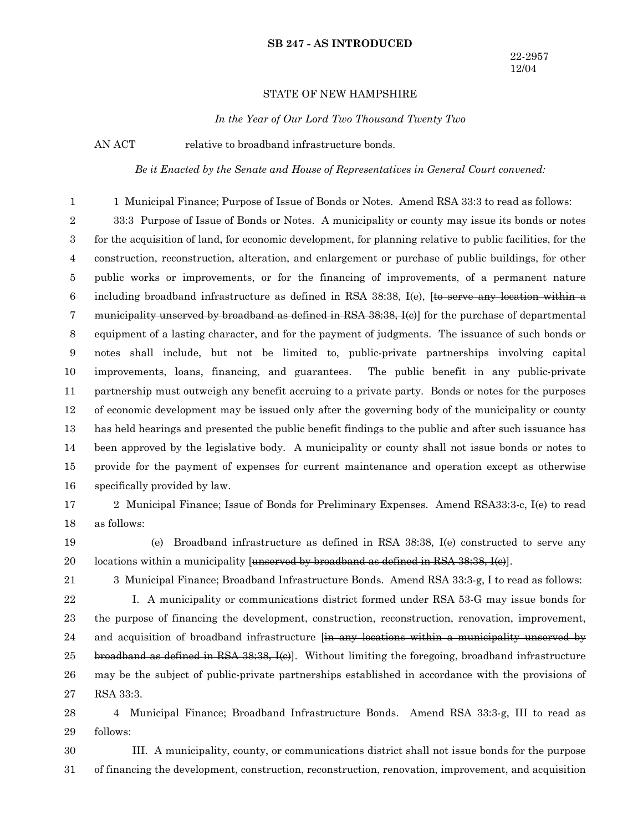#### **SB 247 - AS INTRODUCED**

### STATE OF NEW HAMPSHIRE

*In the Year of Our Lord Two Thousand Twenty Two*

AN ACT relative to broadband infrastructure bonds.

21

*Be it Enacted by the Senate and House of Representatives in General Court convened:*

1 Municipal Finance; Purpose of Issue of Bonds or Notes. Amend RSA 33:3 to read as follows: 33:3 Purpose of Issue of Bonds or Notes. A municipality or county may issue its bonds or notes for the acquisition of land, for economic development, for planning relative to public facilities, for the construction, reconstruction, alteration, and enlargement or purchase of public buildings, for other public works or improvements, or for the financing of improvements, of a permanent nature including broadband infrastructure as defined in RSA 38:38, I(e), <del>[to serve any location within a</del> municipality unserved by broadband as defined in RSA 38:38, I(e) for the purchase of departmental equipment of a lasting character, and for the payment of judgments. The issuance of such bonds or notes shall include, but not be limited to, public-private partnerships involving capital improvements, loans, financing, and guarantees. The public benefit in any public-private partnership must outweigh any benefit accruing to a private party. Bonds or notes for the purposes of economic development may be issued only after the governing body of the municipality or county has held hearings and presented the public benefit findings to the public and after such issuance has been approved by the legislative body. A municipality or county shall not issue bonds or notes to provide for the payment of expenses for current maintenance and operation except as otherwise specifically provided by law. 1 2 3 4 5 6 7 8 9 10 11 12 13 14 15 16

- 2 Municipal Finance; Issue of Bonds for Preliminary Expenses. Amend RSA33:3-c, I(e) to read as follows: 17 18
- (e) Broadband infrastructure as defined in RSA 38:38, I(e) constructed to serve any locations within a municipality [unserved by broadband as defined in RSA  $38:38$ ,  $I(e)$ ]. 19 20
	- 3 Municipal Finance; Broadband Infrastructure Bonds. Amend RSA 33:3-g, I to read as follows:
- I. A municipality or communications district formed under RSA 53-G may issue bonds for the purpose of financing the development, construction, reconstruction, renovation, improvement, and acquisition of broadband infrastructure <del>[in any locations within a municipality unserved by</del> broadband as defined in RSA 38:38, I(e). Without limiting the foregoing, broadband infrastructure may be the subject of public-private partnerships established in accordance with the provisions of RSA 33:3. 22 23 24 25 26 27
- 4 Municipal Finance; Broadband Infrastructure Bonds. Amend RSA 33:3-g, III to read as follows: 28 29
- III. A municipality, county, or communications district shall not issue bonds for the purpose of financing the development, construction, reconstruction, renovation, improvement, and acquisition 30 31